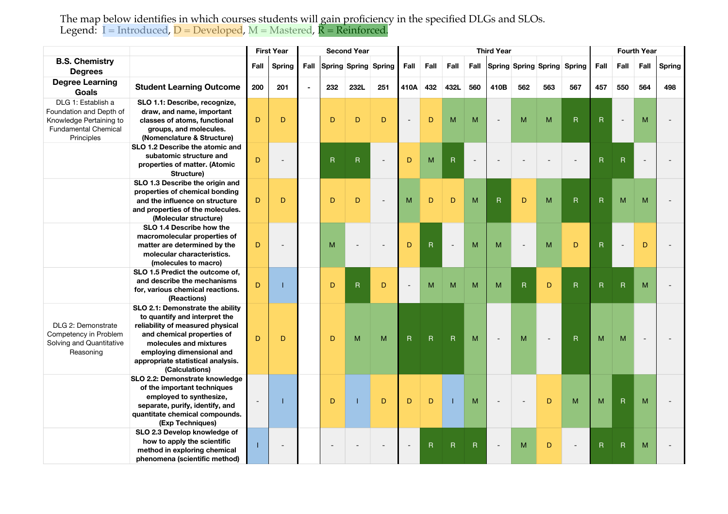The map below identifies in which courses students will gain proficiency in the specified DLGs and SLOs. Legend: I = Introduced, D = Developed, M = Mastered, **R = Reinforced**.

|                                                                                                                       |                                                                                                                                                                                                                                                   | <b>First Year</b> |                          |                |     | <b>Second Year</b>          |     | <b>Third Year</b> |                         |                |              |                |                         |     |                                  |                | <b>Fourth Year</b> |      |        |  |
|-----------------------------------------------------------------------------------------------------------------------|---------------------------------------------------------------------------------------------------------------------------------------------------------------------------------------------------------------------------------------------------|-------------------|--------------------------|----------------|-----|-----------------------------|-----|-------------------|-------------------------|----------------|--------------|----------------|-------------------------|-----|----------------------------------|----------------|--------------------|------|--------|--|
| <b>B.S. Chemistry</b><br><b>Degrees</b>                                                                               |                                                                                                                                                                                                                                                   | Fall              | <b>Spring</b>            | Fall           |     | <b>Spring Spring Spring</b> |     | Fall              | Fall                    | Fall           |              |                |                         |     | Fall Spring Spring Spring Spring | Fall           | Fall               | Fall | Spring |  |
| <b>Degree Learning</b><br>Goals                                                                                       | <b>Student Learning Outcome</b>                                                                                                                                                                                                                   | 200               | 201                      | $\blacksquare$ | 232 | 232L                        | 251 | 410A              | 432                     | 432L           | 560          | 410B           | 562                     | 563 | 567                              | 457            | 550                | 564  | 498    |  |
| DLG 1: Establish a<br>Foundation and Depth of<br>Knowledge Pertaining to<br><b>Fundamental Chemical</b><br>Principles | SLO 1.1: Describe, recognize,<br>draw, and name, important<br>classes of atoms, functional<br>groups, and molecules.<br>(Nomenclature & Structure)                                                                                                | D                 | D                        |                | D   | D                           | D   | $\overline{a}$    | D                       | M              | M            | $\overline{a}$ | M                       | M   | ${\sf R}$                        | $\overline{R}$ | $\overline{a}$     | M    |        |  |
|                                                                                                                       | SLO 1.2 Describe the atomic and<br>subatomic structure and<br>properties of matter. (Atomic<br>Structure)                                                                                                                                         | $\mathsf D$       | $\overline{\phantom{a}}$ |                | R   | $\mathsf{R}$                |     | D                 | M                       | $\mathsf R$    | $\sim$       |                |                         |     |                                  | R              | $\mathsf{R}$       |      |        |  |
|                                                                                                                       | SLO 1.3 Describe the origin and<br>properties of chemical bonding<br>and the influence on structure<br>and properties of the molecules.<br>(Molecular structure)                                                                                  | D                 | D                        |                | D   | D                           |     | M                 | D                       | D              | M            | $\mathsf R$    | $\mathsf D$             | M   | $\mathsf R$                      | $\overline{R}$ | M                  | M    |        |  |
|                                                                                                                       | SLO 1.4 Describe how the<br>macromolecular properties of<br>matter are determined by the<br>molecular characteristics.<br>(molecules to macro)                                                                                                    | D                 | $\overline{a}$           |                | M   |                             |     | D                 | $\overline{\mathsf{R}}$ |                | M            | M              | $\blacksquare$          | M   | D                                | $\mathsf R$    | $\blacksquare$     | D    |        |  |
|                                                                                                                       | SLO 1.5 Predict the outcome of,<br>and describe the mechanisms<br>for, various chemical reactions.<br>(Reactions)                                                                                                                                 | D                 | T                        |                | D   | $\mathsf{R}$                | D   |                   | M                       | M              | M            | M              | $\overline{\mathsf{R}}$ | D   | $\overline{\mathsf{R}}$          | R              | $\mathsf{R}$       | M    |        |  |
| DLG 2: Demonstrate<br>Competency in Problem<br>Solving and Quantitative<br>Reasoning                                  | SLO 2.1: Demonstrate the ability<br>to quantify and interpret the<br>reliability of measured physical<br>and chemical properties of<br>molecules and mixtures<br>employing dimensional and<br>appropriate statistical analysis.<br>(Calculations) | D                 | D                        |                | D   | M                           | M   | $\mathsf{R}$      | $\overline{R}$          | $\overline{R}$ | M            | $\overline{a}$ | M                       |     | $\overline{R}$                   | M              | M                  |      |        |  |
|                                                                                                                       | SLO 2.2: Demonstrate knowledge<br>of the important techniques<br>employed to synthesize,<br>separate, purify, identify, and<br>quantitate chemical compounds.<br>(Exp Techniques)                                                                 |                   | т                        |                | D   |                             | D   | D                 | D                       |                | M            |                |                         | D   | M                                | M              | $\mathsf R$        | M    |        |  |
|                                                                                                                       | SLO 2.3 Develop knowledge of<br>how to apply the scientific<br>method in exploring chemical<br>phenomena (scientific method)                                                                                                                      |                   | $\overline{\phantom{a}}$ |                |     |                             |     |                   | R                       | R              | $\mathsf{R}$ |                | M                       | D   |                                  | R              | $\mathsf R$        | M    |        |  |